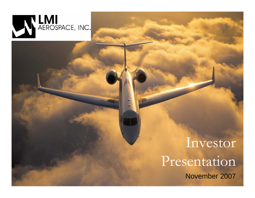

# November 2007 Investor Presentation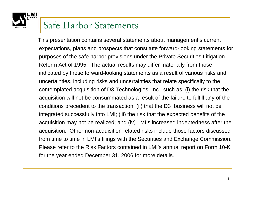#### Safe Harbor Statements

This presentation contains several statements about management's current expectations, plans and prospects that constitute forward-looking statements for purposes of the safe harbor provisions under the Private Securities Litigation Reform Act of 1995. The actual results may differ materially from those indicated by these forward-looking statements as a result of various risks and uncertainties, including risks and uncertainties that relate specifically to the contemplated acquisition of D3 Technologies, Inc., such as: (i) the risk that the acquisition will not be consummated as a result of the failure to fulfill any of the conditions precedent to the transaction; (ii) that the D3 business will not be integrated successfully into LMI; (iii) the risk that the expected benefits of the acquisition may not be realized; and (iv) LMI's increased indebtedness after the acquisition. Other non-acquisition related risks include those factors discussed from time to time in LMI's filings with the Securities and Exchange Commission. Please refer to the Risk Factors contained in LMI's annual report on Form 10-K for the year ended December 31, 2006 for more details.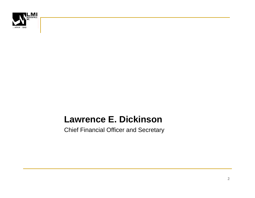

#### **Lawrence E. Dickinson**

Chief Financial Officer and Secretary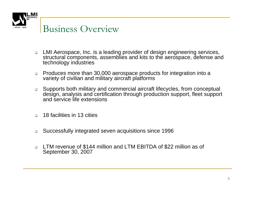

#### Business Overview

- $\Box$  LMI Aerospace, Inc. is a leading provider of design engineering services, structural components, assemblies and kits to the aerospace, defense and technology industries
- $\Box$  Produces more than 30,000 aerospace products for integration into a variety of civilian and military aircraft platforms
- $\Box$  Supports both military and commercial aircraft lifecycles, from conceptual design, analysis and certification through production support, fleet support and service life extensions
- $\Box$ 18 facilities in 13 cities
- $\Box$ Successfully integrated seven acquisitions since 1996
- $\Box$  LTM revenue of \$144 million and LTM EBITDA of \$22 million as of September 30, 2007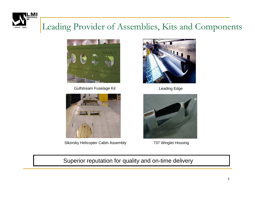

#### Leading Provider of Assemblies, Kits and Components



Gulfstream Fuselage Kit



Sikorsky Helicopter Cabin Assembly



Leading Edge



737 Winglet Housing

Superior reputation for quality and on-time delivery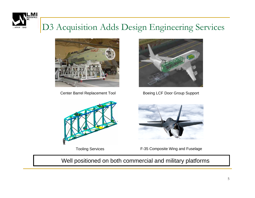

#### D3 Acquisition Adds Design Engineering Services



Center Barrel Replacement Tool



Tooling Services



Boeing LCF Door Group Support



F-35 Composite Wing and Fuselage

Well positioned on both commercial and military platforms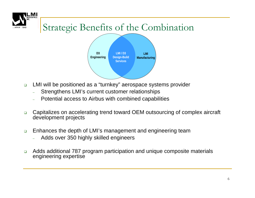

### Strategic Benefits of the Combination



- $\Box$  LMI will be positioned as a "turnkey" aerospace systems provider
	- Strengthens LMI's current customer relationships
	- Potential access to Airbus with combined capabilities
- $\Box$  Capitalizes on accelerating trend toward OEM outsourcing of complex aircraft development projects
- $\Box$  Enhances the depth of LMI's management and engineering team
	- Adds over 350 highly skilled engineers
- $\Box$  Adds additional 787 program participation and unique composite materials engineering expertise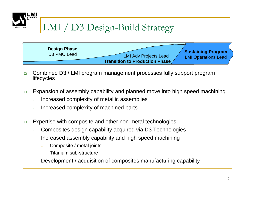

- $\Box$  Combined D3 / LMI program management processes fully support program **lifecycles**
- $\Box$  Expansion of assembly capability and planned move into high speed machining
	- Increased complexity of metallic assemblies
	- Increased complexity of machined parts
- $\Box$  Expertise with composite and other non-metal technologies
	- Composites design capability acquired via D3 Technologies
	- Increased assembly capability and high speed machining
		- Composite / metal joints
		- Titanium sub-structure
	- Development / acquisition of composites manufacturing capability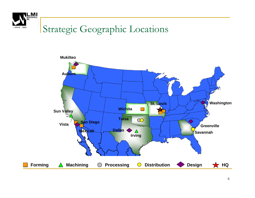

## Strategic Geographic Locations

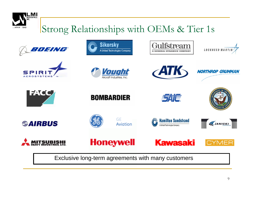

### Strong Relationships with OEMs & Tier 1s















**NORTHROP GRUMMAN** 

















**Honeywell** 

**GE** 

Aviation





Exclusive long-term agreements with many customers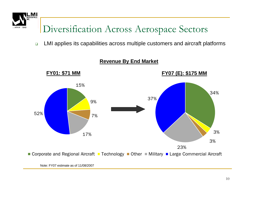

## Diversification Across Aerospace Sectors

 $\Box$ LMI applies its capabilities across multiple customers and aircraft platforms



#### **Revenue By End Market**

Note: FY07 estimate as of 11/08/2007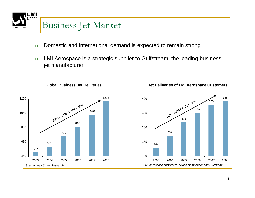

- $\Box$ Domestic and international demand is expected to remain strong
- $\Box$  LMI Aerospace is a strategic supplier to Gulfstream, the leading business jet manufacturer



**Global Business Jet Deliveries**

**Jet Deliveries of LMI Aerospace Customers**

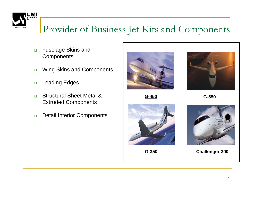

### Provider of Business Jet Kits and Components

- $\Box$  Fuselage Skins and **Components**
- $\Box$ Wing Skins and Components
- $\Box$ Leading Edges
- $\Box$  Structural Sheet Metal & Extruded Components
- $\Box$ Detail Interior Components



**G-450**



**G-550**



**G-350**



**Challenger-300**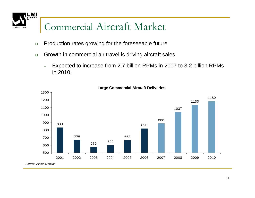MI since 1948

## Commercial Aircraft Market

- $\Box$ Production rates growing for the foreseeable future
- $\Box$  Growth in commercial air travel is driving aircraft sales
	- Expected to increase from 2.7 billion RPMs in 2007 to 3.2 billion RPMs in 2010.



**Large Commercial Aircraft Deliveries**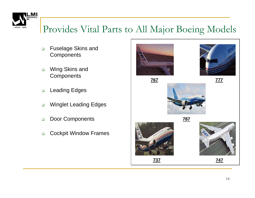

### Provides Vital Parts to All Major Boeing Models

- $\Box$  Fuselage Skins and **Components**
- $\Box$  Wing Skins and **Components**
- $\Box$ Leading Edges
- $\Box$ Winglet Leading Edges
- $\Box$ Door Components
- $\Box$ Cockpit Window Frames





**767**



**787**





**747**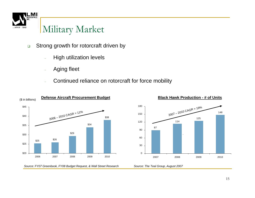

#### Military Market

- $\Box$  Strong growth for rotorcraft driven by
	- High utilization levels
	- Aging fleet
	- Continued reliance on rotorcraft for force mobility





**Black Hawk Production - # of Units**

*Source: FY07 Greenbook, FY08 Budget Request, & Wall Street Research*

*Source: The Teal Group, August 2007*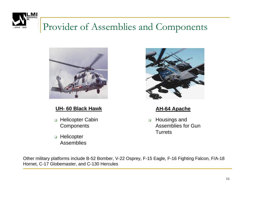

#### Provider of Assemblies and Components



#### **UH- 60 Black Hawk**

- □ Helicopter Cabin **Components**
- □ Helicopter Assemblies



#### **AH-64 Apache**

 $\Box$  Housings and Assemblies for Gun **Turrets** 

Other military platforms include B-52 Bomber, V-22 Osprey, F-15 Eagle, F-16 Fighting Falcon, F/A-18 Hornet, C-17 Globemaster, and C-130 Hercules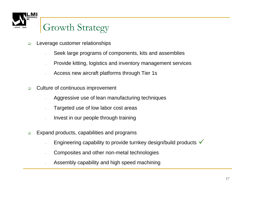

#### Growth Strategy

- $\Box$  Leverage customer relationships
	- Seek large programs of components, kits and assemblies
	- Provide kitting, logistics and inventory management services
	- Access new aircraft platforms through Tier 1s
- $\Box$  Culture of continuous improvement
	- Aggressive use of lean manufacturing techniques
	- Targeted use of low labor cost areas
	- Invest in our people through training
- $\Box$  Expand products, capabilities and programs
	- Engineering capability to provide turnkey design/build products  $\checkmark$
	- Composites and other non-metal technologies
	- Assembly capability and high speed machining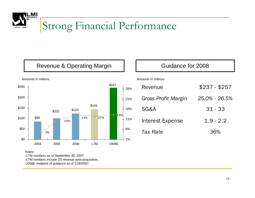

## Strong Financial Performance

#### Revenue & Operating Margin



#### Amounts in millions

#### Guidance for 2008

#### Amounts in millions

| Revenue             | $$237 - $257$ |
|---------------------|---------------|
| Gross Profit Margin | 25.0% - 26.5% |
| SG&A                | $31 - 33$     |
| Interest Expense    | $1.9 - 2.2$   |
| Tax Rate            |               |

#### Notes:

-LTM numbers as of September 30, 2007.

-LTM numbers include D3 revenue post-acquisition.

-2008E midpoint of guidance as of 11/8/2007.